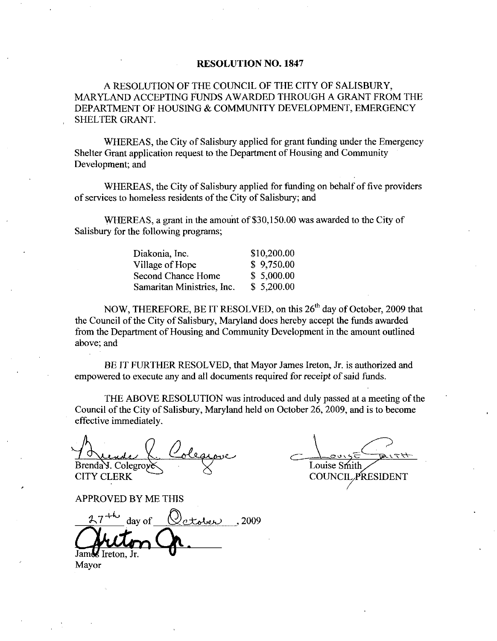### RESOLUTION NO. 1847

ARESOLUTION OF THE COUNCIL OF THE CITY OF SALISBURY MARYLAND ACCEPTING FUNDS AWARDED THROUGH A GRANT FROM THE DEPARTMENT OF HOUSING & COMMUNITY DEVELOPMENT, EMERGENCY SHELTER GRANT

WHEREAS, the City of Salisbury applied for grant funding under the Emergency Shelter Grant application request to the Department of Housing and Community Development; and

WHEREAS, the City of Salisbury applied for funding on behalf of five providers of services to homeless residents of the City of Salisbury; and

WHEREAS, a grant in the amount of \$30,150.00 was awarded to the City of

| $\cdots$ and the sum of the species are only only only we we we have $\sim$<br>Salisbury for the following programs; |             |
|----------------------------------------------------------------------------------------------------------------------|-------------|
| Diakonia, Inc.                                                                                                       | \$10,200.00 |
| Village of Hope                                                                                                      | \$9,750.00  |
| <b>Second Chance Home</b>                                                                                            | \$5,000.00  |
| Samaritan Ministries, Inc.                                                                                           | \$5,200.00  |
|                                                                                                                      |             |

NOW, THEREFORE, BE IT RESOLVED, on this 26<sup>th</sup> day of October, 2009 that the Council of the City of Salisbury, Maryland does hereby accept the funds awarded from the Department of Housing and Community Development in the amount outlined above; and

BE IT FURTHER RESOLVED, that Mayor James Ireton, Jr. is authorized and empowered to execute any and all documents required for receipt of said funds.

THE ABOVE RESOLUTION was introduced and duly passed at a meeting of the Council of the City of Salisbury, Maryland held on October 26, 2009, and is to become effective immediately

Brenda Y. Colegroy CITY CLERK

of said funds.<br>
seed at a meeting of<br>
seed at a meeting of<br>
009, and is to become<br>  $\cos 2\theta$ <br>  $\cos 2\theta$ <br>  $\cos 2\theta$ <br>  $\cos 2\theta$ <br>  $\cos 2\theta$ <br>  $\cos 2\theta$ <br>  $\cos 2\theta$ <br>  $\cos 2\theta$ <br>  $\cos 2\theta$ Louise Smith COUNCIL PRESIDENT

APPROVED BY ME THIS

a7day of ceth 2009 Jamā

Mayor